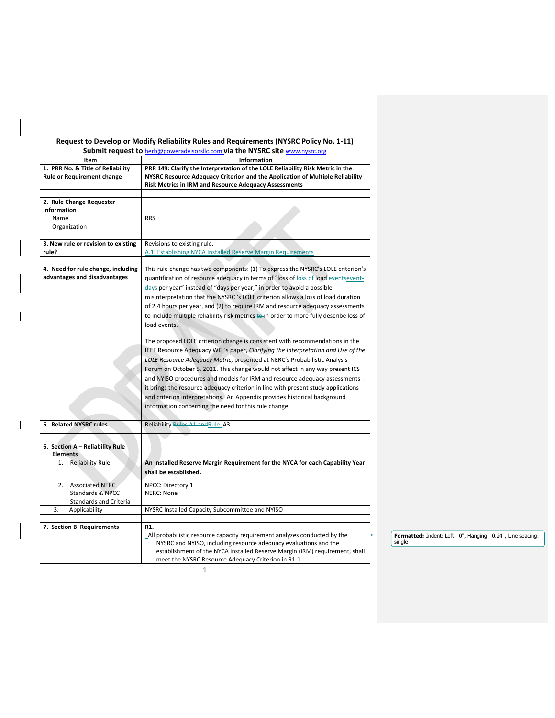## **Request to Develop or Modify Reliability Rules and Requirements (NYSRC Policy No. 1‐11)**

**Submit request to** herb@poweradvisorsllc.com **via the NYSRC site** www.nysrc.org

|                                                                                       | Subfill request to <u>hero@poweradvisorsiic.com</u> via the NTSKC site <u>www.nysrc.org</u>                                                                                                                                                                                                                                                                                                                                                                                                                                                                                                                                                                                                                                                                                                                                                                                                                                                                                                                                                                                                                                                                                       |
|---------------------------------------------------------------------------------------|-----------------------------------------------------------------------------------------------------------------------------------------------------------------------------------------------------------------------------------------------------------------------------------------------------------------------------------------------------------------------------------------------------------------------------------------------------------------------------------------------------------------------------------------------------------------------------------------------------------------------------------------------------------------------------------------------------------------------------------------------------------------------------------------------------------------------------------------------------------------------------------------------------------------------------------------------------------------------------------------------------------------------------------------------------------------------------------------------------------------------------------------------------------------------------------|
| Item<br>1. PRR No. & Title of Reliability<br><b>Rule or Requirement change</b>        | Information<br>PRR 149: Clarify the Interpretation of the LOLE Reliability Risk Metric in the<br>NYSRC Resource Adequacy Criterion and the Application of Multiple Reliability<br>Risk Metrics in IRM and Resource Adequacy Assessments                                                                                                                                                                                                                                                                                                                                                                                                                                                                                                                                                                                                                                                                                                                                                                                                                                                                                                                                           |
| 2. Rule Change Requester                                                              |                                                                                                                                                                                                                                                                                                                                                                                                                                                                                                                                                                                                                                                                                                                                                                                                                                                                                                                                                                                                                                                                                                                                                                                   |
| <b>Information</b>                                                                    |                                                                                                                                                                                                                                                                                                                                                                                                                                                                                                                                                                                                                                                                                                                                                                                                                                                                                                                                                                                                                                                                                                                                                                                   |
| Name                                                                                  | <b>RRS</b>                                                                                                                                                                                                                                                                                                                                                                                                                                                                                                                                                                                                                                                                                                                                                                                                                                                                                                                                                                                                                                                                                                                                                                        |
| Organization                                                                          |                                                                                                                                                                                                                                                                                                                                                                                                                                                                                                                                                                                                                                                                                                                                                                                                                                                                                                                                                                                                                                                                                                                                                                                   |
| 3. New rule or revision to existing<br>rule?                                          | Revisions to existing rule.<br>A.1: Establishing NYCA Installed Reserve Margin Requirements                                                                                                                                                                                                                                                                                                                                                                                                                                                                                                                                                                                                                                                                                                                                                                                                                                                                                                                                                                                                                                                                                       |
| 4. Need for rule change, including<br>advantages and disadvantages                    | This rule change has two components: (1) To express the NYSRC's LOLE criterion's<br>quantification of resource adequacy in terms of "loss of loss of load eventsevent-<br>days per year" instead of "days per year," in order to avoid a possible<br>misinterpretation that the NYSRC 's LOLE criterion allows a loss of load duration<br>of 2.4 hours per year, and (2) to require IRM and resource adequacy assessments<br>to include multiple reliability risk metrics to in order to more fully describe loss of<br>load events.<br>The proposed LOLE criterion change is consistent with recommendations in the<br>IEEE Resource Adequacy WG 's paper, Clarifying the Interpretation and Use of the<br>LOLE Resource Adequacy Metric, presented at NERC's Probabilistic Analysis<br>Forum on October 5, 2021. This change would not affect in any way present ICS<br>and NYISO procedures and models for IRM and resource adequacy assessments --<br>it brings the resource adequacy criterion in line with present study applications<br>and criterion interpretations. An Appendix provides historical background<br>information concerning the need for this rule change. |
| 5. Related NYSRC rules                                                                | Reliability Rules A1 and Rule A3                                                                                                                                                                                                                                                                                                                                                                                                                                                                                                                                                                                                                                                                                                                                                                                                                                                                                                                                                                                                                                                                                                                                                  |
|                                                                                       |                                                                                                                                                                                                                                                                                                                                                                                                                                                                                                                                                                                                                                                                                                                                                                                                                                                                                                                                                                                                                                                                                                                                                                                   |
| 6. Section A - Reliability Rule<br><b>Elements</b>                                    |                                                                                                                                                                                                                                                                                                                                                                                                                                                                                                                                                                                                                                                                                                                                                                                                                                                                                                                                                                                                                                                                                                                                                                                   |
| <b>Reliability Rule</b><br>1.                                                         | An Installed Reserve Margin Requirement for the NYCA for each Capability Year<br>shall be established.                                                                                                                                                                                                                                                                                                                                                                                                                                                                                                                                                                                                                                                                                                                                                                                                                                                                                                                                                                                                                                                                            |
| <b>Associated NERC</b><br>2.<br><b>Standards &amp; NPCC</b><br>Standards and Criteria | NPCC: Directory 1<br><b>NERC: None</b>                                                                                                                                                                                                                                                                                                                                                                                                                                                                                                                                                                                                                                                                                                                                                                                                                                                                                                                                                                                                                                                                                                                                            |
| 3.<br>Applicability                                                                   | NYSRC Installed Capacity Subcommittee and NYISO                                                                                                                                                                                                                                                                                                                                                                                                                                                                                                                                                                                                                                                                                                                                                                                                                                                                                                                                                                                                                                                                                                                                   |
| 7. Section B Requirements                                                             | R1.<br>_All probabilistic resource capacity requirement analyzes conducted by the<br>NYSRC and NYISO, including resource adequacy evaluations and the<br>establishment of the NYCA Installed Reserve Margin (IRM) requirement, shall<br>meet the NYSRC Resource Adequacy Criterion in R1.1.                                                                                                                                                                                                                                                                                                                                                                                                                                                                                                                                                                                                                                                                                                                                                                                                                                                                                       |

 $\mathbf{I}$ 

**Formatted:** Indent: Left: 0", Hanging: 0.24", Line spacing: single

1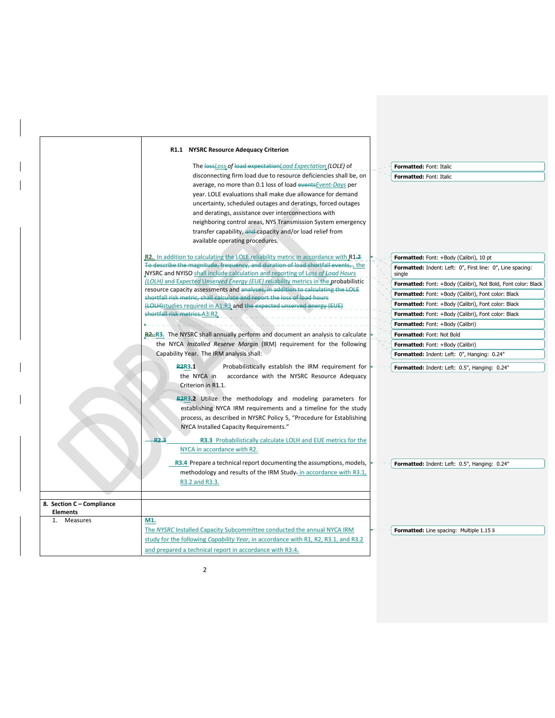|                                              | R1.1 NYSRC Resource Adequacy Criterion                                                                                                                                                                                                                                                                                                                                                                                                                                                                                                                                                                                                       |                                                                                                                                                                                                                                                                                                                                                       |
|----------------------------------------------|----------------------------------------------------------------------------------------------------------------------------------------------------------------------------------------------------------------------------------------------------------------------------------------------------------------------------------------------------------------------------------------------------------------------------------------------------------------------------------------------------------------------------------------------------------------------------------------------------------------------------------------------|-------------------------------------------------------------------------------------------------------------------------------------------------------------------------------------------------------------------------------------------------------------------------------------------------------------------------------------------------------|
|                                              | The lossLoss of load expectationLoad Expectation (LOLE) of<br>disconnecting firm load due to resource deficiencies shall be, on<br>average, no more than 0.1 loss of load eventsEvent-Days per<br>year. LOLE evaluations shall make due allowance for demand<br>uncertainty, scheduled outages and deratings, forced outages<br>and deratings, assistance over interconnections with<br>neighboring control areas, NYS Transmission System emergency<br>transfer capability, and capacity and/or load relief from<br>available operating procedures.<br>R2. In addition to calculating the LOLE reliability metric in accordance with $R1-2$ | <b>Formatted: Font: Italic</b><br>Formatted: Font: Italic<br>Formatted: Font: +Body (Calibri), 10 pt                                                                                                                                                                                                                                                  |
|                                              | To describe the magnitude, frequency, and duration of load shortfall events, the<br>NYSRC and NYISO shall include calculation and reporting of Loss of Load Hours<br>(LOLH) and Expected Unserved Energy (EUE) reliability metrics in the probabilistic<br>resource capacity assessments and analyses, in addition to calculating the LOLE<br>shortfall risk metric, shall calculate and report the loss of load hours<br>(LOLH)studies required in A1:R3 and the expected unserved energy (EUE)<br>shortfall risk metrics.A3:R2                                                                                                             | Formatted: Indent: Left: 0", First line: 0", Line spacing:<br>single<br>Formatted: Font: +Body (Calibri), Not Bold, Font color: Black<br>Formatted: Font: +Body (Calibri), Font color: Black<br>Formatted: Font: +Body (Calibri), Font color: Black<br>Formatted: Font: +Body (Calibri), Font color: Black<br><b>Formatted:</b> Font: +Body (Calibri) |
|                                              | <b>R2-R3.</b> The NYSRC shall annually perform and document an analysis to calculate<br>the NYCA Installed Reserve Margin (IRM) requirement for the following<br>Capability Year. The IRM analysis shall:<br>R <sub>2</sub> R <sub>3</sub> .1<br>Probabilistically establish the IRM requirement for<br>the NYCA in<br>accordance with the NYSRC Resource Adequacy<br>Criterion in R1.1.<br>R2R3.2 Utilize the methodology and modeling parameters for                                                                                                                                                                                       | Formatted: Font: Not Bold<br>Formatted: Font: +Body (Calibri)<br>Formatted: Indent: Left: 0", Hanging: 0.24"<br>Formatted: Indent: Left: 0.5", Hanging: 0.24"                                                                                                                                                                                         |
|                                              | establishing NYCA IRM requirements and a timeline for the study<br>process, as described in NYSRC Policy 5, "Procedure for Establishing<br>NYCA Installed Capacity Requirements."<br>R2.3<br>R3.3 Probabilistically calculate LOLH and EUE metrics for the<br>NYCA in accordance with R2.                                                                                                                                                                                                                                                                                                                                                    |                                                                                                                                                                                                                                                                                                                                                       |
| 8. Section C - Compliance<br><b>Elements</b> | R3.4 Prepare a technical report documenting the assumptions, models,<br>methodology and results of the IRM Study- in accordance with R3.1,<br>R3.2 and R3.3.                                                                                                                                                                                                                                                                                                                                                                                                                                                                                 | Formatted: Indent: Left: 0.5", Hanging: 0.24"                                                                                                                                                                                                                                                                                                         |
| 1. Measures                                  | M1.<br>The NYSRC Installed Capacity Subcommittee conducted the annual NYCA IRM<br>study for the following Capability Year, in accordance with R1, R2, R3.1, and R3.2<br>and prepared a technical report in accordance with R3.4.                                                                                                                                                                                                                                                                                                                                                                                                             | Formatted: Line spacing: Multiple 1.15 li                                                                                                                                                                                                                                                                                                             |

2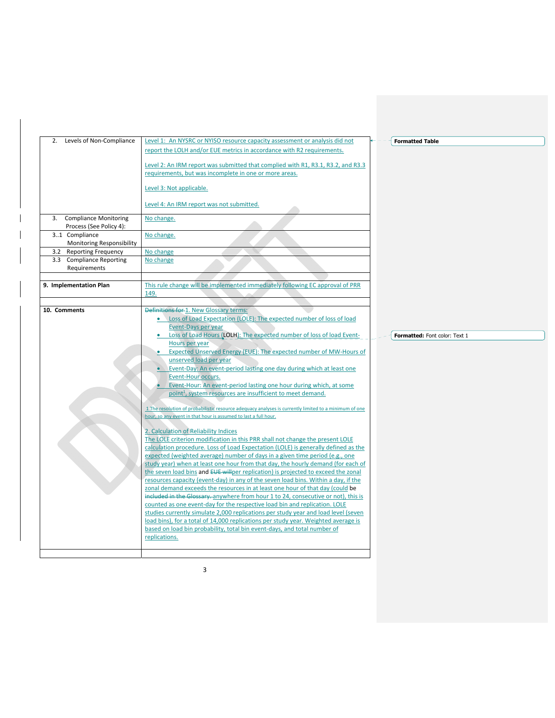| 2. Levels of Non-Compliance                         | Level 1: An NYSRC or NYISO resource capacity assessment or analysis did not<br>report the LOLH and/or EUE metrics in accordance with R2 requirements.<br>Level 2: An IRM report was submitted that complied with R1, R3.1, R3.2, and R3.3<br>requirements, but was incomplete in one or more areas.<br>Level 3: Not applicable.                                                                                                                                                                                                                                                                                                                                                                                                                                                                                                                                                                                                                                                                                                                                                                                                                                                                                                                                                                                                                                                                                                                                                                                                                                                                                                                                                                                                                                                                          | <b>Formatted Table</b>        |
|-----------------------------------------------------|----------------------------------------------------------------------------------------------------------------------------------------------------------------------------------------------------------------------------------------------------------------------------------------------------------------------------------------------------------------------------------------------------------------------------------------------------------------------------------------------------------------------------------------------------------------------------------------------------------------------------------------------------------------------------------------------------------------------------------------------------------------------------------------------------------------------------------------------------------------------------------------------------------------------------------------------------------------------------------------------------------------------------------------------------------------------------------------------------------------------------------------------------------------------------------------------------------------------------------------------------------------------------------------------------------------------------------------------------------------------------------------------------------------------------------------------------------------------------------------------------------------------------------------------------------------------------------------------------------------------------------------------------------------------------------------------------------------------------------------------------------------------------------------------------------|-------------------------------|
|                                                     | Level 4: An IRM report was not submitted.                                                                                                                                                                                                                                                                                                                                                                                                                                                                                                                                                                                                                                                                                                                                                                                                                                                                                                                                                                                                                                                                                                                                                                                                                                                                                                                                                                                                                                                                                                                                                                                                                                                                                                                                                                |                               |
| 3. Compliance Monitoring<br>Process (See Policy 4): | No change.                                                                                                                                                                                                                                                                                                                                                                                                                                                                                                                                                                                                                                                                                                                                                                                                                                                                                                                                                                                                                                                                                                                                                                                                                                                                                                                                                                                                                                                                                                                                                                                                                                                                                                                                                                                               |                               |
| 31 Compliance<br><b>Monitoring Responsibility</b>   | No change.                                                                                                                                                                                                                                                                                                                                                                                                                                                                                                                                                                                                                                                                                                                                                                                                                                                                                                                                                                                                                                                                                                                                                                                                                                                                                                                                                                                                                                                                                                                                                                                                                                                                                                                                                                                               |                               |
| 3.2 Reporting Frequency                             | No change                                                                                                                                                                                                                                                                                                                                                                                                                                                                                                                                                                                                                                                                                                                                                                                                                                                                                                                                                                                                                                                                                                                                                                                                                                                                                                                                                                                                                                                                                                                                                                                                                                                                                                                                                                                                |                               |
| 3.3 Compliance Reporting                            | No change                                                                                                                                                                                                                                                                                                                                                                                                                                                                                                                                                                                                                                                                                                                                                                                                                                                                                                                                                                                                                                                                                                                                                                                                                                                                                                                                                                                                                                                                                                                                                                                                                                                                                                                                                                                                |                               |
| Requirements                                        |                                                                                                                                                                                                                                                                                                                                                                                                                                                                                                                                                                                                                                                                                                                                                                                                                                                                                                                                                                                                                                                                                                                                                                                                                                                                                                                                                                                                                                                                                                                                                                                                                                                                                                                                                                                                          |                               |
|                                                     |                                                                                                                                                                                                                                                                                                                                                                                                                                                                                                                                                                                                                                                                                                                                                                                                                                                                                                                                                                                                                                                                                                                                                                                                                                                                                                                                                                                                                                                                                                                                                                                                                                                                                                                                                                                                          |                               |
| 9. Implementation Plan                              | This rule change will be implemented immediately following EC approval of PRR                                                                                                                                                                                                                                                                                                                                                                                                                                                                                                                                                                                                                                                                                                                                                                                                                                                                                                                                                                                                                                                                                                                                                                                                                                                                                                                                                                                                                                                                                                                                                                                                                                                                                                                            |                               |
|                                                     | 149.                                                                                                                                                                                                                                                                                                                                                                                                                                                                                                                                                                                                                                                                                                                                                                                                                                                                                                                                                                                                                                                                                                                                                                                                                                                                                                                                                                                                                                                                                                                                                                                                                                                                                                                                                                                                     |                               |
| 10. Comments                                        | <b>Definitions for 1. New Glossary terms:</b>                                                                                                                                                                                                                                                                                                                                                                                                                                                                                                                                                                                                                                                                                                                                                                                                                                                                                                                                                                                                                                                                                                                                                                                                                                                                                                                                                                                                                                                                                                                                                                                                                                                                                                                                                            |                               |
|                                                     | Loss of Load Expectation (LOLE): The expected number of loss of load<br><b>Event-Days per year</b><br>• Loss of Load Hours (LOLH): The expected number of loss of load Event-<br>Hours per year<br>Expected Unserved Energy (EUE): The expected number of MW-Hours of<br>unserved load per year<br>• Event-Day: An event-period lasting one day during which at least one<br>Event-Hour occurs.<br>Event-Hour: An event-period lasting one hour during which, at some<br>point <sup>1</sup> , system resources are insufficient to meet demand.<br>1 The resolution of probabilistic resource adequacy analyses is currently limited to a minimum of one<br>hour, so any event in that hour is assumed to last a full hour.<br>2. Calculation of Reliability Indices<br>The LOLE criterion modification in this PRR shall not change the present LOLE<br>calculation procedure. Loss of Load Expectation (LOLE) is generally defined as the<br>expected (weighted average) number of days in a given time period (e.g., one<br>study year) when at least one hour from that day, the hourly demand (for each of<br>the seven load bins and EUE will per replication) is projected to exceed the zonal<br>resources capacity (event-day) in any of the seven load bins. Within a day, if the<br>zonal demand exceeds the resources in at least one hour of that day (could be<br>included in the Glossary. anywhere from hour 1 to 24, consecutive or not), this is<br>counted as one event-day for the respective load bin and replication. LOLE<br>studies currently simulate 2,000 replications per study year and load level (seven<br>load bins), for a total of 14,000 replications per study year. Weighted average is<br>based on load bin probability, total bin event-days, and total number of | Formatted: Font color: Text 1 |

3